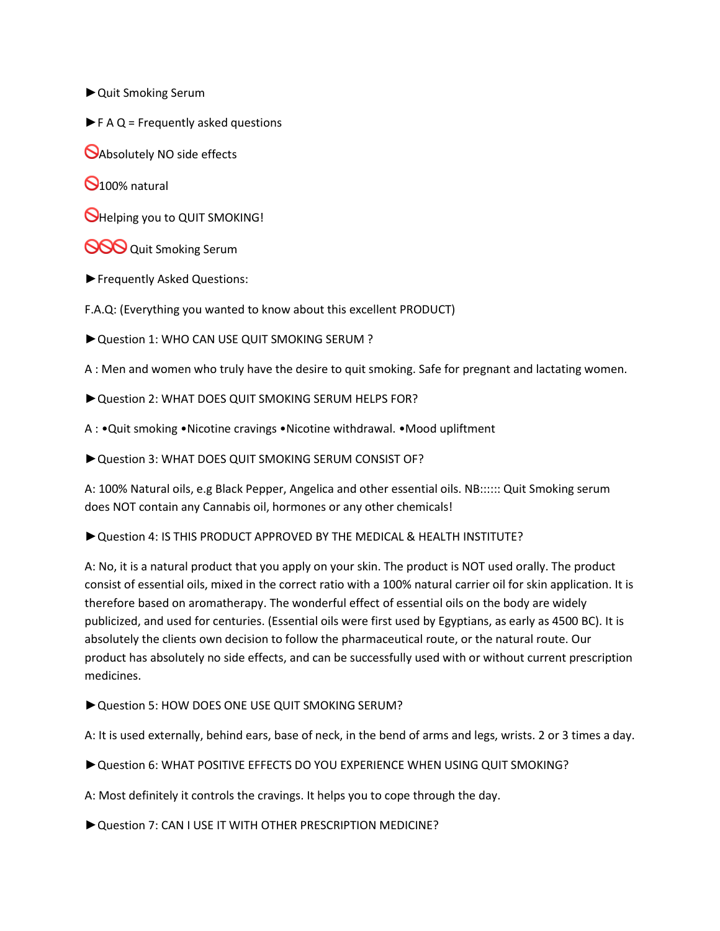- ►Quit Smoking Serum
- $\blacktriangleright$  F A Q = Frequently asked questions
- **Absolutely NO side effects**
- $\Theta$ 100% natural
- **O**Helping you to QUIT SMOKING!
- **OOO** Quit Smoking Serum
- ►Frequently Asked Questions:
- F.A.Q: (Everything you wanted to know about this excellent PRODUCT)
- ►Question 1: WHO CAN USE QUIT SMOKING SERUM ?
- A : Men and women who truly have the desire to quit smoking. Safe for pregnant and lactating women.
- ▶ Question 2: WHAT DOES QUIT SMOKING SERUM HELPS FOR?
- A : •Quit smoking •Nicotine cravings •Nicotine withdrawal. •Mood upliftment
- ►Question 3: WHAT DOES QUIT SMOKING SERUM CONSIST OF?
- A: 100% Natural oils, e.g Black Pepper, Angelica and other essential oils. NB:::::: Quit Smoking serum does NOT contain any Cannabis oil, hormones or any other chemicals!
- ►Question 4: IS THIS PRODUCT APPROVED BY THE MEDICAL & HEALTH INSTITUTE?
- A: No, it is a natural product that you apply on your skin. The product is NOT used orally. The product consist of essential oils, mixed in the correct ratio with a 100% natural carrier oil for skin application. It is therefore based on aromatherapy. The wonderful effect of essential oils on the body are widely publicized, and used for centuries. (Essential oils were first used by Egyptians, as early as 4500 BC). It is absolutely the clients own decision to follow the pharmaceutical route, or the natural route. Our product has absolutely no side effects, and can be successfully used with or without current prescription medicines.
- ▶ Question 5: HOW DOES ONE USE QUIT SMOKING SERUM?
- A: It is used externally, behind ears, base of neck, in the bend of arms and legs, wrists. 2 or 3 times a day.
- ►Question 6: WHAT POSITIVE EFFECTS DO YOU EXPERIENCE WHEN USING QUIT SMOKING?
- A: Most definitely it controls the cravings. It helps you to cope through the day.
- ► Question 7: CAN I USE IT WITH OTHER PRESCRIPTION MEDICINE?